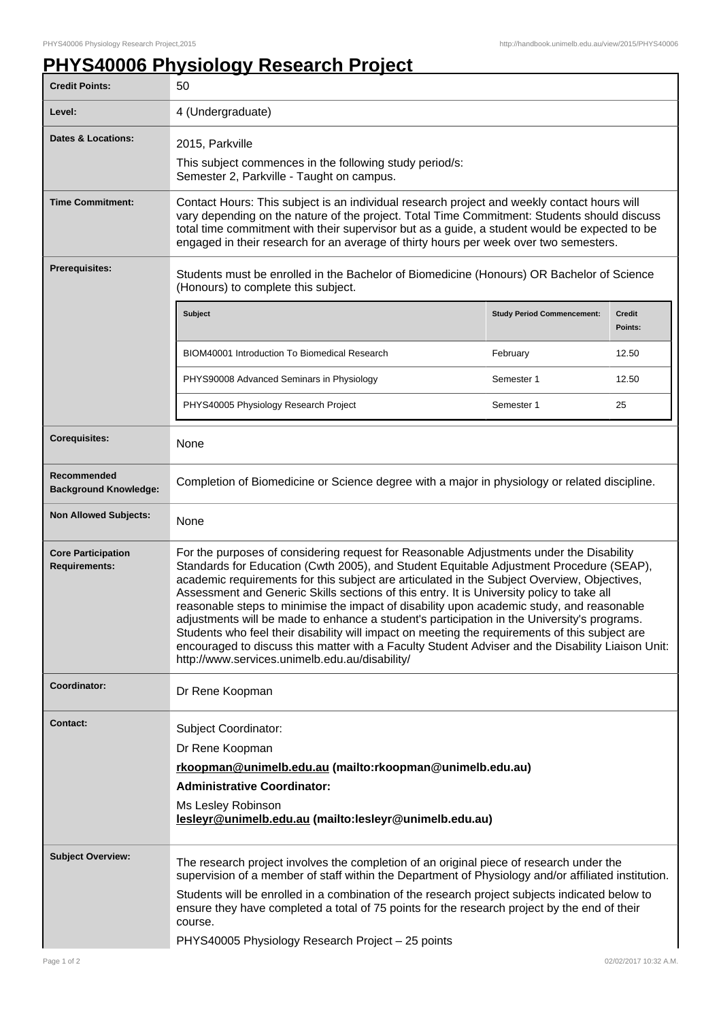## **PHYS40006 Physiology Research Project**

| <b>Credit Points:</b>                             | 50                                                                                                                                                                                                                                                                                                                                                                                                                                                                                                                                                                                                                                                                                                                                                                                                                                  |                                   |                          |
|---------------------------------------------------|-------------------------------------------------------------------------------------------------------------------------------------------------------------------------------------------------------------------------------------------------------------------------------------------------------------------------------------------------------------------------------------------------------------------------------------------------------------------------------------------------------------------------------------------------------------------------------------------------------------------------------------------------------------------------------------------------------------------------------------------------------------------------------------------------------------------------------------|-----------------------------------|--------------------------|
| Level:                                            | 4 (Undergraduate)                                                                                                                                                                                                                                                                                                                                                                                                                                                                                                                                                                                                                                                                                                                                                                                                                   |                                   |                          |
| <b>Dates &amp; Locations:</b>                     | 2015, Parkville                                                                                                                                                                                                                                                                                                                                                                                                                                                                                                                                                                                                                                                                                                                                                                                                                     |                                   |                          |
|                                                   | This subject commences in the following study period/s:<br>Semester 2, Parkville - Taught on campus.                                                                                                                                                                                                                                                                                                                                                                                                                                                                                                                                                                                                                                                                                                                                |                                   |                          |
| <b>Time Commitment:</b>                           | Contact Hours: This subject is an individual research project and weekly contact hours will<br>vary depending on the nature of the project. Total Time Commitment: Students should discuss<br>total time commitment with their supervisor but as a guide, a student would be expected to be<br>engaged in their research for an average of thirty hours per week over two semesters.                                                                                                                                                                                                                                                                                                                                                                                                                                                |                                   |                          |
| <b>Prerequisites:</b>                             | Students must be enrolled in the Bachelor of Biomedicine (Honours) OR Bachelor of Science<br>(Honours) to complete this subject.                                                                                                                                                                                                                                                                                                                                                                                                                                                                                                                                                                                                                                                                                                    |                                   |                          |
|                                                   | Subject                                                                                                                                                                                                                                                                                                                                                                                                                                                                                                                                                                                                                                                                                                                                                                                                                             | <b>Study Period Commencement:</b> | <b>Credit</b><br>Points: |
|                                                   | BIOM40001 Introduction To Biomedical Research                                                                                                                                                                                                                                                                                                                                                                                                                                                                                                                                                                                                                                                                                                                                                                                       | February                          | 12.50                    |
|                                                   | PHYS90008 Advanced Seminars in Physiology                                                                                                                                                                                                                                                                                                                                                                                                                                                                                                                                                                                                                                                                                                                                                                                           | Semester 1                        | 12.50                    |
|                                                   | PHYS40005 Physiology Research Project                                                                                                                                                                                                                                                                                                                                                                                                                                                                                                                                                                                                                                                                                                                                                                                               | Semester 1                        | 25                       |
| <b>Corequisites:</b>                              | None                                                                                                                                                                                                                                                                                                                                                                                                                                                                                                                                                                                                                                                                                                                                                                                                                                |                                   |                          |
| Recommended<br><b>Background Knowledge:</b>       | Completion of Biomedicine or Science degree with a major in physiology or related discipline.                                                                                                                                                                                                                                                                                                                                                                                                                                                                                                                                                                                                                                                                                                                                       |                                   |                          |
| <b>Non Allowed Subjects:</b>                      | None                                                                                                                                                                                                                                                                                                                                                                                                                                                                                                                                                                                                                                                                                                                                                                                                                                |                                   |                          |
| <b>Core Participation</b><br><b>Requirements:</b> | For the purposes of considering request for Reasonable Adjustments under the Disability<br>Standards for Education (Cwth 2005), and Student Equitable Adjustment Procedure (SEAP),<br>academic requirements for this subject are articulated in the Subject Overview, Objectives,<br>Assessment and Generic Skills sections of this entry. It is University policy to take all<br>reasonable steps to minimise the impact of disability upon academic study, and reasonable<br>adjustments will be made to enhance a student's participation in the University's programs.<br>Students who feel their disability will impact on meeting the requirements of this subject are<br>encouraged to discuss this matter with a Faculty Student Adviser and the Disability Liaison Unit:<br>http://www.services.unimelb.edu.au/disability/ |                                   |                          |
| Coordinator:                                      | Dr Rene Koopman                                                                                                                                                                                                                                                                                                                                                                                                                                                                                                                                                                                                                                                                                                                                                                                                                     |                                   |                          |
| <b>Contact:</b>                                   | Subject Coordinator:<br>Dr Rene Koopman<br>rkoopman@unimelb.edu.au (mailto:rkoopman@unimelb.edu.au)<br><b>Administrative Coordinator:</b><br>Ms Lesley Robinson<br>lesleyr@unimelb.edu.au (mailto:lesleyr@unimelb.edu.au)                                                                                                                                                                                                                                                                                                                                                                                                                                                                                                                                                                                                           |                                   |                          |
| <b>Subject Overview:</b>                          | The research project involves the completion of an original piece of research under the<br>supervision of a member of staff within the Department of Physiology and/or affiliated institution.<br>Students will be enrolled in a combination of the research project subjects indicated below to<br>ensure they have completed a total of 75 points for the research project by the end of their<br>course.<br>PHYS40005 Physiology Research Project - 25 points                                                                                                                                                                                                                                                                                                                                                                    |                                   |                          |